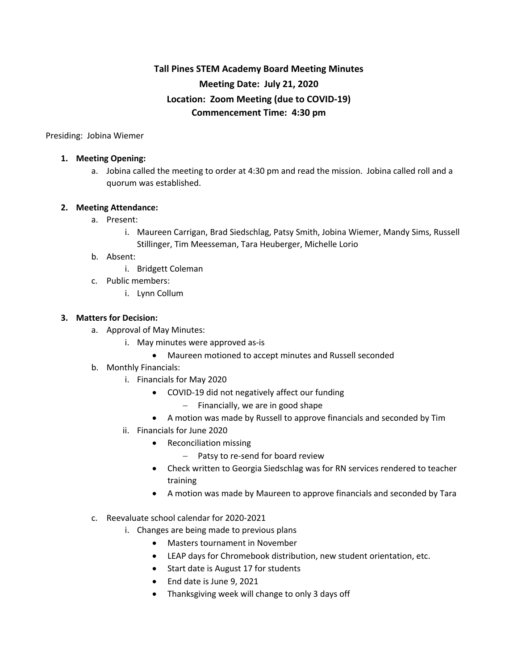# **Tall Pines STEM Academy Board Meeting Minutes Meeting Date: July 21, 2020 Location: Zoom Meeting (due to COVID-19) Commencement Time: 4:30 pm**

Presiding: Jobina Wiemer

#### **1. Meeting Opening:**

a. Jobina called the meeting to order at 4:30 pm and read the mission. Jobina called roll and a quorum was established.

### **2. Meeting Attendance:**

- a. Present:
	- i. Maureen Carrigan, Brad Siedschlag, Patsy Smith, Jobina Wiemer, Mandy Sims, Russell Stillinger, Tim Meesseman, Tara Heuberger, Michelle Lorio

#### b. Absent:

- i. Bridgett Coleman
- c. Public members:
	- i. Lynn Collum

### **3. Matters for Decision:**

- a. Approval of May Minutes:
	- i. May minutes were approved as-is
		- Maureen motioned to accept minutes and Russell seconded
- b. Monthly Financials:
	- i. Financials for May 2020
		- COVID-19 did not negatively affect our funding
			- Financially, we are in good shape
		- A motion was made by Russell to approve financials and seconded by Tim
	- ii. Financials for June 2020
		- Reconciliation missing
			- Patsy to re-send for board review
		- Check written to Georgia Siedschlag was for RN services rendered to teacher training
		- A motion was made by Maureen to approve financials and seconded by Tara
- c. Reevaluate school calendar for 2020-2021
	- i. Changes are being made to previous plans
		- Masters tournament in November
		- LEAP days for Chromebook distribution, new student orientation, etc.
		- Start date is August 17 for students
		- End date is June 9, 2021
		- Thanksgiving week will change to only 3 days off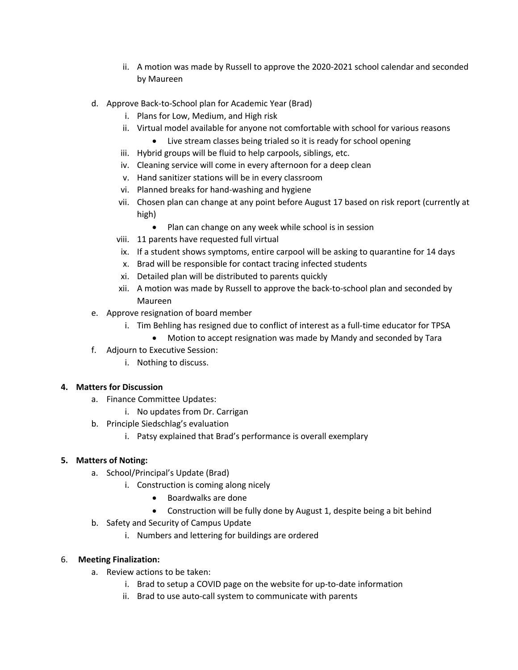- ii. A motion was made by Russell to approve the 2020-2021 school calendar and seconded by Maureen
- d. Approve Back-to-School plan for Academic Year (Brad)
	- i. Plans for Low, Medium, and High risk
	- ii. Virtual model available for anyone not comfortable with school for various reasons
		- Live stream classes being trialed so it is ready for school opening
	- iii. Hybrid groups will be fluid to help carpools, siblings, etc.
	- iv. Cleaning service will come in every afternoon for a deep clean
	- v. Hand sanitizer stations will be in every classroom
	- vi. Planned breaks for hand-washing and hygiene
	- vii. Chosen plan can change at any point before August 17 based on risk report (currently at high)
		- Plan can change on any week while school is in session
	- viii. 11 parents have requested full virtual
	- ix. If a student shows symptoms, entire carpool will be asking to quarantine for 14 days
	- x. Brad will be responsible for contact tracing infected students
	- xi. Detailed plan will be distributed to parents quickly
	- xii. A motion was made by Russell to approve the back-to-school plan and seconded by Maureen
- e. Approve resignation of board member
	- i. Tim Behling has resigned due to conflict of interest as a full-time educator for TPSA
		- Motion to accept resignation was made by Mandy and seconded by Tara
- f. Adjourn to Executive Session:
	- i. Nothing to discuss.

## **4. Matters for Discussion**

- a. Finance Committee Updates:
	- i. No updates from Dr. Carrigan
- b. Principle Siedschlag's evaluation
	- i. Patsy explained that Brad's performance is overall exemplary

## **5. Matters of Noting:**

- a. School/Principal's Update (Brad)
	- i. Construction is coming along nicely
		- Boardwalks are done
		- Construction will be fully done by August 1, despite being a bit behind
- b. Safety and Security of Campus Update
	- i. Numbers and lettering for buildings are ordered

## 6. **Meeting Finalization:**

- a. Review actions to be taken:
	- i. Brad to setup a COVID page on the website for up-to-date information
	- ii. Brad to use auto-call system to communicate with parents